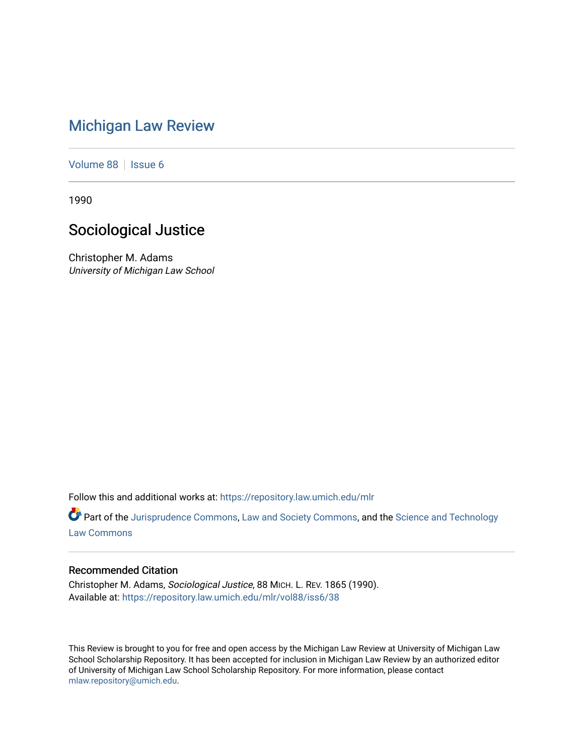# [Michigan Law Review](https://repository.law.umich.edu/mlr)

[Volume 88](https://repository.law.umich.edu/mlr/vol88) | [Issue 6](https://repository.law.umich.edu/mlr/vol88/iss6)

1990

# Sociological Justice

Christopher M. Adams University of Michigan Law School

Follow this and additional works at: [https://repository.law.umich.edu/mlr](https://repository.law.umich.edu/mlr?utm_source=repository.law.umich.edu%2Fmlr%2Fvol88%2Fiss6%2F38&utm_medium=PDF&utm_campaign=PDFCoverPages) 

Part of the [Jurisprudence Commons](http://network.bepress.com/hgg/discipline/610?utm_source=repository.law.umich.edu%2Fmlr%2Fvol88%2Fiss6%2F38&utm_medium=PDF&utm_campaign=PDFCoverPages), [Law and Society Commons,](http://network.bepress.com/hgg/discipline/853?utm_source=repository.law.umich.edu%2Fmlr%2Fvol88%2Fiss6%2F38&utm_medium=PDF&utm_campaign=PDFCoverPages) and the Science and Technology [Law Commons](http://network.bepress.com/hgg/discipline/875?utm_source=repository.law.umich.edu%2Fmlr%2Fvol88%2Fiss6%2F38&utm_medium=PDF&utm_campaign=PDFCoverPages) 

## Recommended Citation

Christopher M. Adams, Sociological Justice, 88 MICH. L. REV. 1865 (1990). Available at: [https://repository.law.umich.edu/mlr/vol88/iss6/38](https://repository.law.umich.edu/mlr/vol88/iss6/38?utm_source=repository.law.umich.edu%2Fmlr%2Fvol88%2Fiss6%2F38&utm_medium=PDF&utm_campaign=PDFCoverPages) 

This Review is brought to you for free and open access by the Michigan Law Review at University of Michigan Law School Scholarship Repository. It has been accepted for inclusion in Michigan Law Review by an authorized editor of University of Michigan Law School Scholarship Repository. For more information, please contact [mlaw.repository@umich.edu.](mailto:mlaw.repository@umich.edu)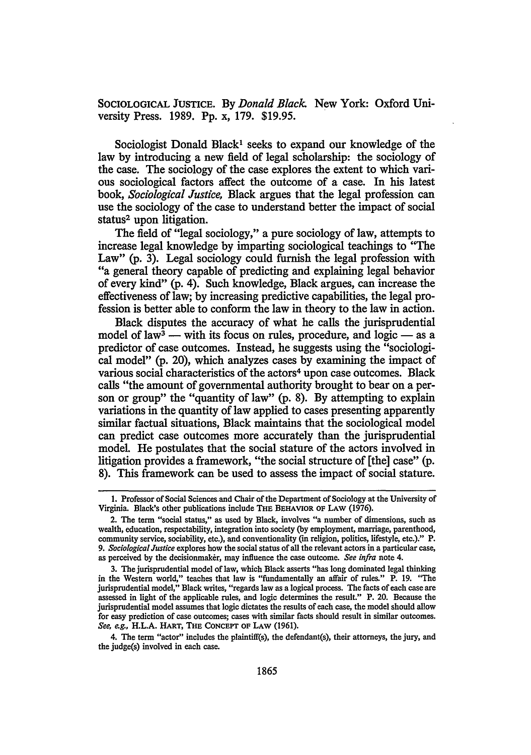SOCIOLOGICAL JUSTICE. By *Donald Black.* New York: Oxford University Press. 1989. Pp. x, 179. \$19.95.

Sociologist Donald Black<sup>1</sup> seeks to expand our knowledge of the law by introducing a new field of legal scholarship: the sociology of the case. The sociology of the case explores the extent to which various sociological factors affect the outcome of a case. In his latest book, *Sociological Justice,* Black argues that the legal profession can use the sociology of the case to understand better the impact of social status<sup>2</sup> upon litigation.

The field of "legal sociology," a pure sociology of law, attempts to increase legal knowledge by imparting sociological teachings to "The Law" (p. 3). Legal sociology could furnish the legal profession with "a general theory capable of predicting and explaining legal behavior of every kind" (p. 4). Such knowledge, Black argues, can increase the effectiveness of law; by increasing predictive capabilities, the legal profession is better able to conform the law in theory to the law in action.

Black disputes the accuracy of what he calls the jurisprudential model of law<sup>3</sup> - with its focus on rules, procedure, and logic - as a predictor of case outcomes. Instead, he suggests using the "sociological model" (p. 20), which analyzes cases by examining the impact of various social characteristics of the actors<sup>4</sup> upon case outcomes. Black calls "the amount of governmental authority brought to bear on a person or group" the "quantity of law" (p. 8). By attempting to explain variations in the quantity of law applied to cases presenting apparently similar factual situations, Black maintains that the sociological model can predict case outcomes more accurately than the jurisprudential model. He postulates that the social stature of the actors involved in litigation provides a framework, "the social structure of [the] case" (p. 8). This framework can be used to assess the impact of social stature.

<sup>1.</sup> Professor of Social Sciences and Chair of the Department of Sociology at the University of Virginia. Black's other publications include THE BEHAVIOR OF LAW (1976).

<sup>2.</sup> The term "social status," as used by Black, involves "a number of dimensions, such as wealth, education, respectability, integration into society (by employment, marriage, parenthood, community service, sociability, etc.), and conventionality (in religion, politics, lifestyle, etc.)?' P. 9. *Sociological Justice* explores bow the social status of all the relevant actors in a particular case, as perceived by the decisionmaker, may influence the case outcome. *See infra* note 4.

<sup>3.</sup> The jurisprudential model of law, which Black asserts "has long dominated legal thinking in the Western world," teaches that law is "fundamentally an affair of rules." P. 19. "The jurisprudential model," Black writes, "regards law as a logical process. The facts of each case are assessed in light of the applicable rules, and logic determines the result." P. 20. Because the jurisprudential model assumes that logic dictates the results of each case, the model should allow for easy prediction of case outcomes; cases with similar facts should result in similar outcomes. *See, e.g.,* H.L.A. HART, THE CoNCEPT OF LAW (1961).

<sup>4.</sup> The term "actor" includes the plaintiff(s), the defendant(s), their attorneys, the jury, and the judge(s) involved in each case.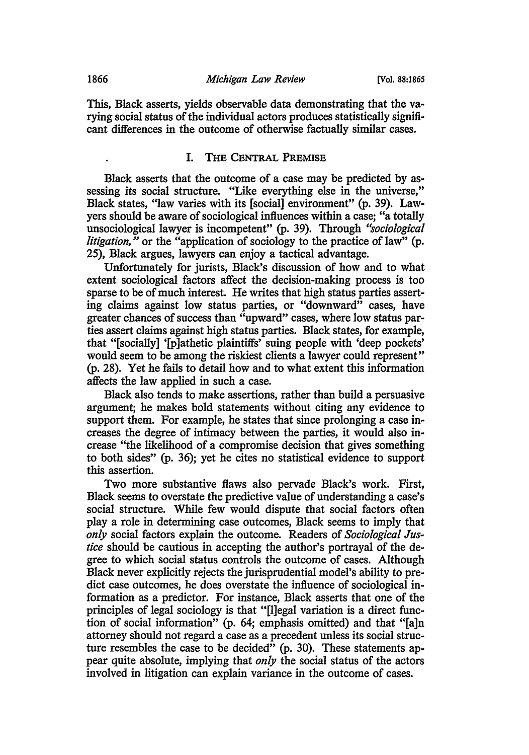This, Black asserts, yields observable data demonstrating that the varying social status of the individual actors produces statistically significant differences in the outcome of otherwise factually similar cases.

### I. THE CENTRAL PREMISE

Black asserts that the outcome of a case may be predicted by assessing its social structure. "Like everything else in the universe,'' Black states, "law varies with its [social] environment" (p. 39). Lawyers should be aware of sociological influences within a case; "a totally unsociological lawyer is incompetent" (p. 39). Through *''sociological litigation,*" or the "application of sociology to the practice of law" (p. 25), Black argues, lawyers can enjoy a tactical advantage.

Unfortunately for jurists, Black's discussion of how and to what extent sociological factors affect the decision-making process is too sparse to be of much interest. He writes that high status parties asserting claims against low status parties, or "downward" cases, have greater chances of success than "upward" cases, where low status parties assert claims against high status parties. Black states, for example, that "[socially] '[p]athetic plaintiffs' suing people with 'deep pockets' would seem to be among the riskiest clients a lawyer could represent" (p. 28). Yet he fails to detail how and to what extent this information affects the law applied in such a case.

Black also tends to make assertions, rather than build a persuasive argument; he makes bold statements without citing any evidence to support them. For example, he states that since prolonging a case increases the degree of intimacy between the parties, it would also increase "the likelihood of a compromise decision that gives something to both sides" (p. 36); yet he cites no statistical evidence to support this assertion.

Two more substantive flaws also pervade Black's work. First, Black seems to overstate the predictive value of understanding a case's social structure. While few would dispute that social factors often play a role in determining case outcomes, Black seems to imply that *only* social factors explain the outcome. Readers of *Sociological Justice* should be cautious in accepting the author's portrayal of the degree to which social status controls the outcome of cases. Although Black never explicitly rejects the jurisprudential model's ability to predict case outcomes, he does overstate the influence of sociological information as a predictor. For instance, Black asserts that one of the principles of legal sociology is that "[l]egal variation is a direct function of social information" (p. 64; emphasis omitted) and that "[a]n attorney should not regard a case as a precedent unless its social structure resembles the case to be decided" (p. 30). These statements appear quite absolute, implying that *only* the social status of the actors involved in litigation can explain variance in the outcome of cases.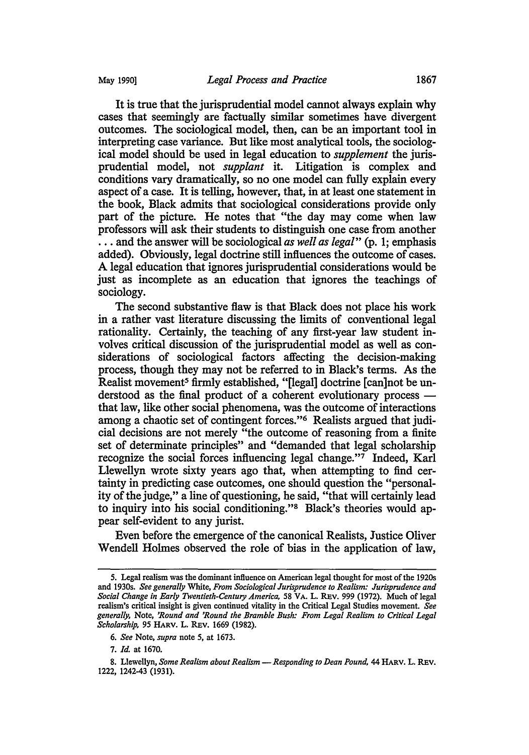It is true that the jurisprudential model cannot always explain why cases that seemingly are factually similar sometimes have divergent outcomes. The sociological model, then, can be an important tool in interpreting case variance. But like most analytical tools, the sociological model should be used in legal education to *supplement* the jurisprudential model, not *supplant* it. Litigation is complex and conditions vary dramatically, so no one model can fully explain every aspect of a case. It is telling, however, that, in at least one statement in the book, Black admits that sociological considerations provide only part of the picture. He notes that "the day may come when law professors will ask their students to distinguish one case from another ... and the answer will be sociological *as well as legal"* (p. 1; emphasis added). Obviously, legal doctrine still influences the outcome of cases. A legal education that ignores jurisprudential considerations would be just as incomplete as an education that ignores the teachings of sociology.

The second substantive flaw is that Black does not place his work in a rather vast literature discussing the limits of conventional legal rationality. Certainly, the teaching of any first-year law student involves critical discussion of the jurisprudential model as well as considerations of sociological factors affecting the decision-making process, though they may not be referred to in Black's terms. As the Realist movement<sup>5</sup> firmly established, "[legal] doctrine [can]not be understood as the final product of a coherent evolutionary process  $$ that law, like other social phenomena, was the outcome of interactions among a chaotic set of contingent forces."<sup>6</sup> Realists argued that judicial decisions are not merely "the outcome of reasoning from a finite set of determinate principles" and "demanded that legal scholarship recognize the social forces influencing legal change."7 Indeed, Karl Llewellyn wrote sixty years ago that, when attempting to find certainty in predicting case outcomes, one should question the "personality of the judge," a line of questioning, he said, "that will certainly lead to inquiry into his social conditioning."8 Black's theories would appear self-evident to any jurist.

Even before the emergence of the canonical Realists, Justice Oliver Wendell Holmes observed the role of bias in the application of law,

<sup>5.</sup> Legal realism was the dominant influence on American legal thought for most of the 1920s and 1930s. *See generally* White, *From Sociological Jurisprudence to Realism: Jurisprudence and Social Change in Early Twentieth-Century America,* 58 VA. L. RE.v. 999 (1972). Much of legal realism's critical insight is given continued vitality in the Critical Legal Studies movement. *See generally,* Note, *'Round and 'Round the Bramble Bush: From Legal Realism to Critical Legal Scholarship*, 95 HARV. L. REV. 1669 (1982).

<sup>6.</sup> *See* Note, *supra* note 5, at 1673.

<sup>7.</sup> *Id.* at 1670.

<sup>8.</sup> Llewellyn, *Some Realism about Realism* - Responding to Dean Pound, 44 HARV. L. REV. 1222, 1242-43 (1931).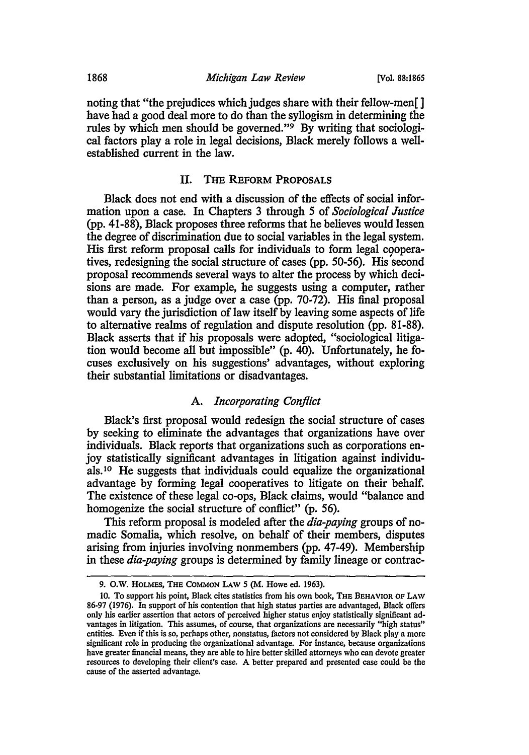noting that "the prejudices which judges share with their fellow-men. have had a good deal more to do than the syllogism in determining the rules by which men should be govemed."9 By writing that sociological factors play a role in legal decisions, Black merely follows a wellestablished current in the law.

#### II. THE REFORM PROPOSALS

Black does not end with a discussion of the effects of social information upon a case. In Chapters 3 through *5* of *Sociological Justice*  (pp. 41-88), Black proposes three reforms that he believes would lessen the degree of discrimination due to social variables in the legal system. His first reform proposal calls for individuals to form legal cooperatives, redesigning the social structure of cases (pp. 50-56). His 'second proposal recommends several ways to alter the process by which decisions are made. For example, he suggests using a computer, rather than a person, as a judge over a case (pp. 70-72). His final proposal would vary the jurisdiction of law itself by leaving some aspects of life to alternative realms of regulation and dispute resolution (pp. 81-88). Black asserts that if his proposals were adopted, "sociological litigation would become all but impossible" (p. 40). Unfortunately, he focuses exclusively on his suggestions' advantages, without exploring their substantial limitations or disadvantages.

#### A. *Incorporating Conflict*

Black's first proposal would redesign the social structure of cases by seeking to eliminate the advantages that organizations have over individuals. Black reports that organizations such as corporations enjoy statistically significant advantages in litigation against individuals.10 He suggests that individuals could equalize the organizational advantage by forming legal cooperatives to litigate on their behalf. The existence of these legal co-ops, Black claims, would "balance and homogenize the social structure of conflict" (p. 56).

This reform proposal is modeled after the *dia-paying* groups of nomadic Somalia, which resolve, on behalf of their members, disputes arising from injuries involving nonmembers (pp. 47-49). Membership in these *dia-paying* groups is determined by family lineage or contrac-

<sup>9.</sup> o.w. HOLMES, THE COMMON LAW *s* (M. Howe ed. 1963).

<sup>10.</sup> To support his point, Black cites statistics from his own book, THE BEHAVIOR OF LAW 86-97 (1976). In support of his contention that high status parties are advantaged, Black offers only his earlier assertion that actors of perceived higher status enjoy statistically significant ad· vantages in litigation. This assumes, of course, that organizations are necessarily "high status" entities. Even if this is so, perhaps other, nonstatus, factors not considered by Black play a more significant role in producing the organizational advantage. For instance, because organizations have greater financial means, they are able to hire better skilled attorneys who can devote greater resources to developing their client's case. A better prepared and presented case could be the cause of the asserted advantage.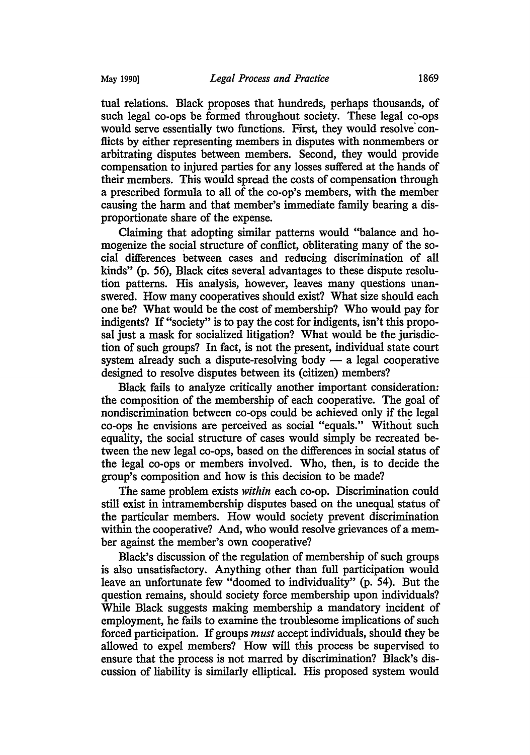tual relations. Black proposes that hundreds, perhaps thousands, of such legal co-ops be formed throughout society. These legal co-ops would serve essentially two functions. First, they would resolve conflicts by either representing members in disputes with nonmembers or arbitrating disputes between members. Second, they would provide compensation to injured parties for any losses suffered at the hands of their members. This would spread the costs of compensation through a prescribed formula to all of the co-op's members, with the member causing the harm and that member's immediate family bearing a disproportionate share of the expense.

Claiming that adopting similar patterns would "balance and homogenize the social structure of conflict, obliterating many of the social differences between cases and reducing discrimination of all kinds" (p. 56), Black cites several advantages to these dispute resolution patterns. His analysis, however, leaves many questions unanswered. How many cooperatives should exist? What size should each one be? What would be the cost of membership? Who would pay for indigents? If "society" is to pay the cost for indigents, isn't this proposal just a mask for socialized litigation? What would be the jurisdiction of such groups? In fact, is not the present, individual state court system already such a dispute-resolving body  $-$  a legal cooperative designed to resolve disputes between its (citizen) members?

Black fails to analyze critically another important consideration: the composition of the membership of each cooperative. The goal of nondiscrimination between co-ops could be achieved only if the legal co-ops he envisions are perceived as social "equals." Without such equality, the social structure of cases would simply be recreated between the new legal co-ops, based on the differences in social status of the legal co-ops or members involved. Who, then, is to decide the group's composition and how is this decision to be made?

The same problem exists *within* each co-op. Discrimination could still exist in intramembership disputes based on the unequal status of the particular members. How would society prevent discrimination within the cooperative? And, who would resolve grievances of a member against the member's own cooperative?

Black's discussion of the regulation of membership of such groups is also unsatisfactory. Anything other than full participation would leave an unfortunate few "doomed to individuality" (p. 54). But the question remains, should society force membership upon individuals? While Black suggests making membership a mandatory incident of employment, he fails to examine the troublesome implications of such forced participation. If groups *must* accept individuals, should they be allowed to expel members? How will this process be supervised to ensure that the process is not marred by discrimination? Black's discussion of liability is similarly elliptical. His proposed system would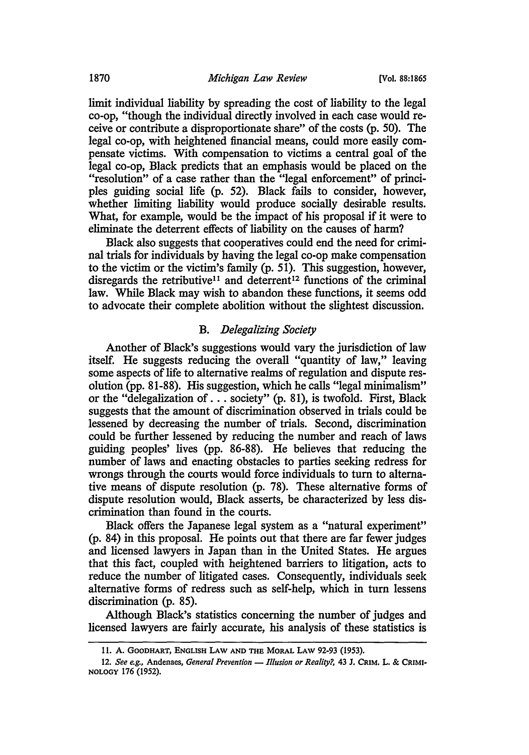limit individual liability by spreading the cost of liability to the legal co-op, "though the individual directly involved in each case would receive or contribute a disproportionate share" of the costs (p. 50). The legal co-op, with heightened financial means, could more easily compensate victims. With compensation to victims a central goal of the legal co-op, Black predicts that an emphasis would be placed on the "resolution" of a case rather than the "legal enforcement" of principles guiding social life (p. 52). Black fails to consider, however, whether limiting liability would produce socially desirable results. What, for example, would be the impact of his proposal if it were to eliminate the deterrent effects of liability on the causes of harm?

Black also suggests that cooperatives could end the need for criminal trials for individuals by having the legal co-op make compensation to the victim or the victim's family (p. 51). This suggestion, however, disregards the retributive<sup>11</sup> and deterrent<sup>12</sup> functions of the criminal law. While Black may wish to abandon these functions, it seems odd to advocate their complete abolition without the slightest discussion.

### B. *Delegalizing Society*

Another of Black's suggestions would vary the jurisdiction of law itself. He suggests reducing the overall "quantity of law," leaving some aspects of life to alternative realms of regulation and dispute resolution (pp. 81-88). His suggestion, which he calls "legal minimalism" or the "delegalization of ... society" (p. 81), is twofold. First, Black suggests that the amount of discrimination observed in trials could be lessened by decreasing the number of trials. Second, discrimination could be further lessened by reducing the number and reach of laws guiding peoples' lives (pp. 86-88). He believes that reducing the number of laws and enacting obstacles to parties seeking redress for wrongs through the courts would force individuals to turn to alternative means of dispute resolution (p. 78). These alternative forms of dispute resolution would, Black asserts, be characterized by less discrimination than found in the courts.

Black offers the Japanese legal system as a "natural experiment" (p. 84) in this proposal. He points out that there are far fewer judges and licensed lawyers in Japan than in the United States. He argues that this fact, coupled with heightened barriers to litigation, acts to reduce the number of litigated cases. Consequently, individuals seek alternative forms of redress such as self-help, which in tum lessens discrimination (p. 85).

Although Black's statistics concerning the number of judges and licensed lawyers are fairly accurate, his analysis of these statistics is

<sup>11.</sup> A. GOODHART, ENGLISH LAW AND THE MORAL LAW 92-93 (1953).

<sup>12.</sup> *See e.g., Andenaes, General Prevention* - *Illusion or Reality?*, 43 J. CRIM. L. & CRIMI-NOLOGY 176 (1952).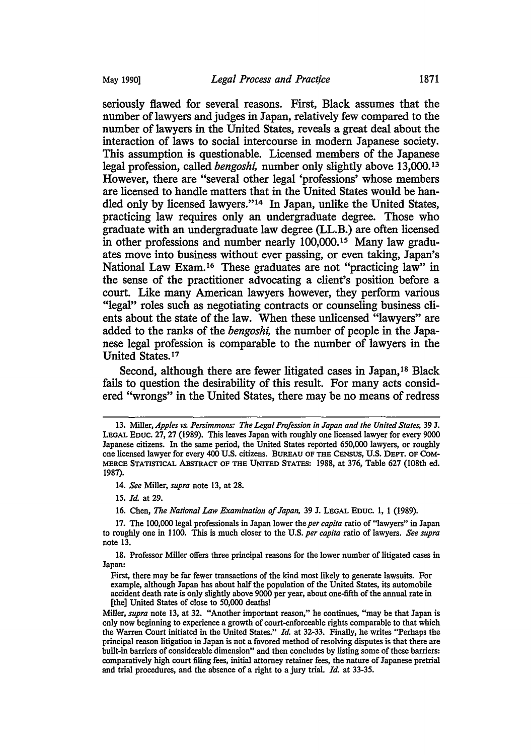seriously flawed for several reasons. First, Black assumes that the number of lawyers and judges in Japan, relatively few compared to the number of lawyers in the United States, reveals a great deal about the interaction of laws to social intercourse in modem Japanese society. This assumption is questionable. Licensed members of the Japanese legal profession, called *bengoshi,* number only slightly above 13,000.13 However, there are "several other legal 'professions' whose members are licensed to handle matters that in the United States would be handled only by licensed lawyers." 14 In Japan, unlike the United States, practicing law requires only an undergraduate degree. Those who graduate with an undergraduate law degree (LL.B.) are often licensed in other professions and number nearly 100,000.<sup>15</sup> Many law graduates move into business without ever passing, or even taking, Japan's National Law Exam. 16 These graduates are not "practicing law" in the sense of the practitioner advocating a client's position before a court. Like many American lawyers however, they perform various "legal" roles such as negotiating contracts or counseling business clients about the state of the law. When these unlicensed "lawyers" are added to the ranks of the *bengoshi,* the number of people in the Japanese legal profession is comparable to the number of lawyers in the United States. <sup>17</sup>

Second, although there are fewer litigated cases in Japan, 18 Black fails to question the desirability of this result. For many acts considered "wrongs" in the United States, there may be no means of redress

15. *Id.* at 29.

16. Chen, *The National Law Examination of Japan,* 39 J. LEGAL EDUC. 1, 1 (1989).

17. The 100,000 legal professionals in Japan lower the *per capita* ratio of "lawyers" in Japan to roughly one in 1100. This is much closer to the U.S. *per capita* ratio of lawyers. *See supra*  note 13.

18. Professor Miller offers three principal reasons for the lower number of litigated cases in Japan:

<sup>13.</sup> Miller, *Apples vs. Persimmons: The Legal Profession in Japan and the United States,* 39 J. LEGAL EDUC. 27, 27 (1989). This leaves Japan with roughly one licensed lawyer for every 9000 Japanese citizens. In the same period, the United States reported 650,000 lawyers, or roughly one licensed lawyer for every 400 U.S. citizens. BUREAU OF THE CENSUS, U.S. DEPT. OF CoM-MERCE STATISTICAL ABSTRACT OF THE UNITED STATES: 1988, at 376, Table 627 (108th ed. 1987).

<sup>14.</sup> *See* Miller, *supra* note 13, at 28.

First, there may be far fewer transactions of the kind most likely to generate lawsuits. For example, although Japan has about half the population of the United States, its automobile accident death rate is only slightly above 9000 per year, about one-fifth of the annual rate in [the] United States of close to 50,000 deaths!

Miller, *supra* note 13, at 32. "Another important reason,'' he continues, "may be that Japan is only now beginning to experience a growth of court-enforceable rights comparable to that which the Warren Court initiated in the United States." *Id.* at 32-33. Finally, he writes "Perhaps the principal reason litigation in Japan is not a favored method of resolving disputes is that there are built-in barriers of considerable dimension" and then concludes by listing some of these barriers: comparatively high court filing fees, initial attorney retainer fees, the nature of Japanese pretrial and trial procedures, and the absence of a right to a jury trial. *Id.* at 33-35.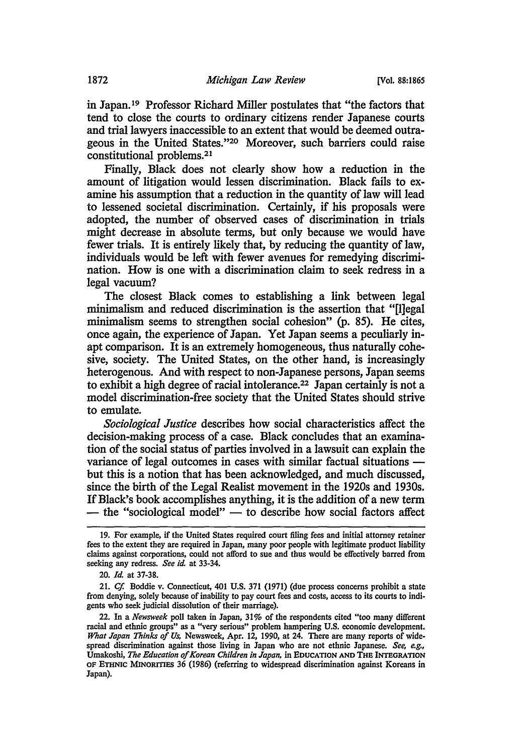in Japan. 19 Professor Richard Miller postulates that "the factors that tend to close the courts to ordinary citizens render Japanese courts and trial lawyers inaccessible to an extent that would be deemed outrageous in the United States."20 Moreover, such barriers could raise constitutional problems. 21

Finally, Black does not clearly show how a reduction in the amount of litigation would lessen discrimination. Black fails to examine his assumption that a reduction in the quantity of law will lead to lessened societal discrimination. Certainly, if his proposals were adopted, the number of observed cases of discrimination in trials might decrease in absolute terms, but only because we would have fewer trials. It is entirely likely that, by reducing the quantity of law, individuals would be left with fewer avenues for remedying discrimination. How is one with a discrimination claim to seek redress in a legal vacuum?

The closest Black comes to establishing a link between legal minimalism and reduced discrimination is the assertion that "[l]egal minimalism seems to strengthen social cohesion" (p. 85). He cites, once again, the experience of Japan. Yet Japan seems a peculiarly inapt comparison. It is an extremely homogeneous, thus naturally cohesive, society. The United States, on the other hand, is increasingly heterogenous. And with respect to non-Japanese persons, Japan seems to exhibit a high degree of racial intolerance.22 Japan certainly is not a model discrimination-free society that the United States should strive to emulate.

*Sociological Justice* describes how social characteristics affect the decision-making process of a case. Black concludes that an examination of the social status of parties involved in a lawsuit can explain the variance of legal outcomes in cases with similar factual situations but this is a notion that has been acknowledged, and much discussed, since the birth of the Legal Realist movement in the 1920s and 1930s. If Black's book accomplishes anything, it is the addition of a new term - the "sociological model" - to describe how social factors affect

<sup>19.</sup> For example, if the United States required court filing fees and initial attorney retainer fees to the extent they are required in Japan, many poor people with legitimate product liability claims against corporations, could not afford to sue and thus would be effectively barred from seeking any redress. *See id.* at 33-34.

<sup>20.</sup> *Id.* at 37-38.

<sup>21.</sup> *Cf.* Boddie v. Connecticut, 401 U.S. 371 (1971) (due process concerns prohibit a state from denying, solely because of inability to pay court fees and costs, access to its courts to indigents who seek judicial dissolution of their marriage).

<sup>22.</sup> In a *Newsweek* poll taken in Japan, 31 % of the respondents cited "too many different racial and ethnic groups" as a "very serious" problem hampering U.S. economic development. *What Japan Thinks of Us,* Newsweek, Apr. 12, 1990, at 24. There are many reports of widespread discrimination against those living in Japan who are not ethnic Japanese. *See, e.g.,*  Umakoshi, *The Education of Korean Children in Japan,* in EDUCATION AND THE INTEGRATION OF ETHNIC MINORITIES 36 (1986) (referring to widespread discrimination against Koreans in Japan).